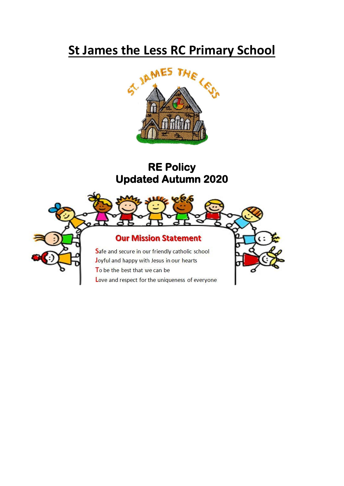# **St James the Less RC Primary School**



# **RE Policy Updated Autumn 2020**

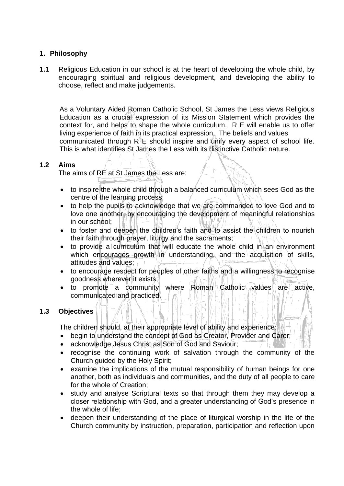# **1. Philosophy**

**1.1** Religious Education in our school is at the heart of developing the whole child, by encouraging spiritual and religious development, and developing the ability to choose, reflect and make judgements.

 As a Voluntary Aided Roman Catholic School, St James the Less views Religious Education as a crucial expression of its Mission Statement which provides the context for, and helps to shape the whole curriculum.  $R E$  will enable us to offer living experience of faith in its practical expression. The beliefs and values communicated through  $R \nVdash$  should inspire and unify every aspect of school life. This is what identifies St James the Less with its distinctive Catholic nature.

# **1.2 Aims**

The aims of RE at St James the Less are:

- to inspire the whole child through a balanced curriculum which sees God as the centre of the learning process;
- $\bullet$  to help the pupils to acknowledge that we are commanded to love God and to love one another, by encouraging the development of meaningful relationships in our school:
- to foster and deepen the children's faith and to assist the children to nourish their faith through prayer, liturgy and the sacraments;
- $\bullet$  to provide a curriculum that will educate the whole child in an environment which encourages growth in understanding, and the acquisition of skills, attitudes and values;
- to encourage respect for peoples of other faiths and a willingness to recognise goodness wherever it exists;
- to promote a community where Roman Catholic values are active, communicated and practiced.

#### **1.3 Objectives**

The children should, at their appropriate level of ability and experience:

- begin to understand the concept of God as Creator, Provider and Carer;
- acknowledge Jesus Christ as Son of God and Saviour;
- recognise the continuing work of salvation through the community of the Church guided by the Holy Spirit;
- examine the implications of the mutual responsibility of human beings for one another, both as individuals and communities, and the duty of all people to care for the whole of Creation;
- study and analyse Scriptural texts so that through them they may develop a closer relationship with God, and a greater understanding of God's presence in the whole of life;
- deepen their understanding of the place of liturgical worship in the life of the Church community by instruction, preparation, participation and reflection upon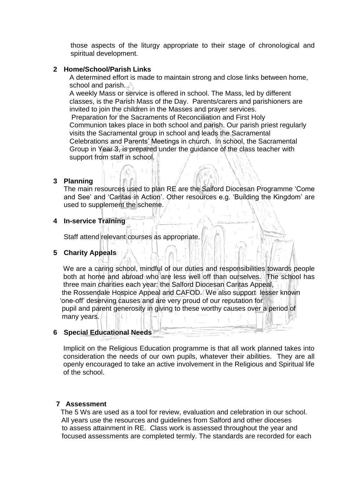those aspects of the liturgy appropriate to their stage of chronological and spiritual development.

#### **2 Home/School/Parish Links**

 A determined effort is made to maintain strong and close links between home, school and parish.

 A weekly Mass or service is offered in school. The Mass, led by different classes, is the Parish Mass of the Day. Parents/carers and parishioners are invited to join the children in the Masses and prayer services.

Preparation for the Sacraments of Reconciliation and First Holy Communion takes place in both school and parish. Our parish priest regularly visits the Sacramental group in school and leads the Sacramental Celebrations and Parents' Meetings in church. In school, the Sacramental Group in Year 3, is prepared under the guidance of the class teacher with support from staff in school.

# **3 Planning**

The main resources used to plan RE are the Salford Diocesan Programme 'Come and See' and 'Caritas in Action'. Other resources e.g. 'Building the Kingdom' are used to supplement the scheme.

# **4 In-service Training**

Staff attend relevant courses as appropriate.

#### **5 Charity Appeals**

 We are a caring school, mindful of our duties and responsibilities towards people both at home and abroad who are less well off than ourselves. The school has three main charities each year: the Salford Diocesan Caritas Appeal, the Rossendale Hospice Appeal and CAFOD. We also support lesser known 'one-off' deserving causes and are very proud of our reputation for pupil and parent generosity in giving to these worthy causes over a period of many years.

#### **6 Special Educational Needs**

 Implicit on the Religious Education programme is that all work planned takes into consideration the needs of our own pupils, whatever their abilities. They are all openly encouraged to take an active involvement in the Religious and Spiritual life of the school.

# **7 Assessment**

 The 5 Ws are used as a tool for review, evaluation and celebration in our school. All years use the resources and guidelines from Salford and other dioceses to assess attainment in RE. Class work is assessed throughout the year and focused assessments are completed termly. The standards are recorded for each